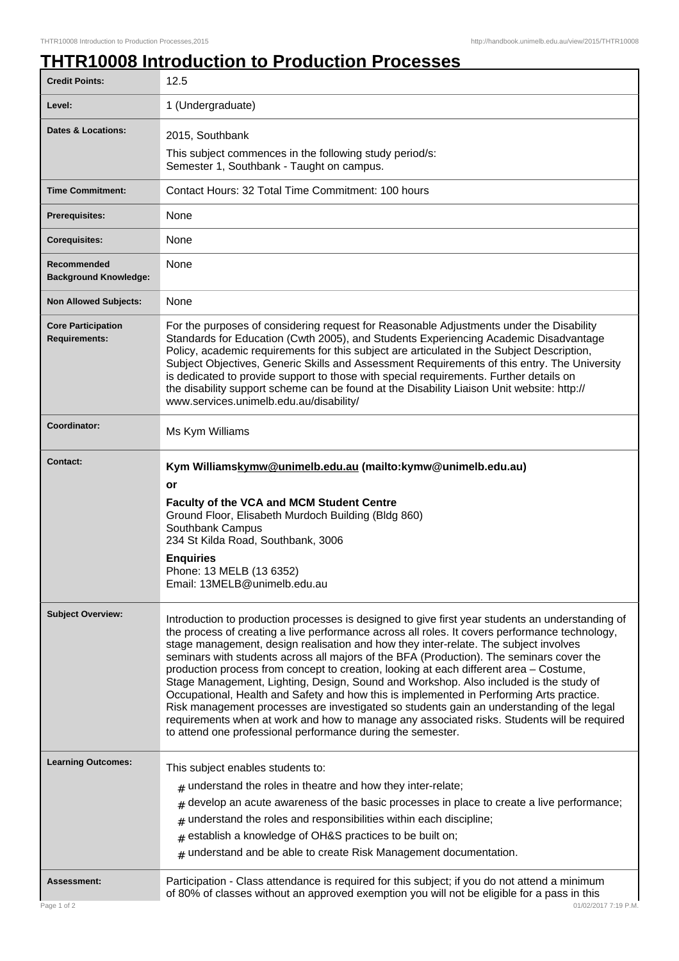## **THTR10008 Introduction to Production Processes**

| <b>Credit Points:</b>                             | 12.5                                                                                                                                                                                                                                                                                                                                                                                                                                                                                                                                                                                                                                                                                                                                                                                                                                                                                                                             |
|---------------------------------------------------|----------------------------------------------------------------------------------------------------------------------------------------------------------------------------------------------------------------------------------------------------------------------------------------------------------------------------------------------------------------------------------------------------------------------------------------------------------------------------------------------------------------------------------------------------------------------------------------------------------------------------------------------------------------------------------------------------------------------------------------------------------------------------------------------------------------------------------------------------------------------------------------------------------------------------------|
| Level:                                            | 1 (Undergraduate)                                                                                                                                                                                                                                                                                                                                                                                                                                                                                                                                                                                                                                                                                                                                                                                                                                                                                                                |
| <b>Dates &amp; Locations:</b>                     | 2015, Southbank                                                                                                                                                                                                                                                                                                                                                                                                                                                                                                                                                                                                                                                                                                                                                                                                                                                                                                                  |
|                                                   | This subject commences in the following study period/s:                                                                                                                                                                                                                                                                                                                                                                                                                                                                                                                                                                                                                                                                                                                                                                                                                                                                          |
|                                                   | Semester 1, Southbank - Taught on campus.                                                                                                                                                                                                                                                                                                                                                                                                                                                                                                                                                                                                                                                                                                                                                                                                                                                                                        |
| <b>Time Commitment:</b>                           | Contact Hours: 32 Total Time Commitment: 100 hours                                                                                                                                                                                                                                                                                                                                                                                                                                                                                                                                                                                                                                                                                                                                                                                                                                                                               |
| <b>Prerequisites:</b>                             | None                                                                                                                                                                                                                                                                                                                                                                                                                                                                                                                                                                                                                                                                                                                                                                                                                                                                                                                             |
| <b>Corequisites:</b>                              | None                                                                                                                                                                                                                                                                                                                                                                                                                                                                                                                                                                                                                                                                                                                                                                                                                                                                                                                             |
| Recommended<br><b>Background Knowledge:</b>       | None                                                                                                                                                                                                                                                                                                                                                                                                                                                                                                                                                                                                                                                                                                                                                                                                                                                                                                                             |
| <b>Non Allowed Subjects:</b>                      | None                                                                                                                                                                                                                                                                                                                                                                                                                                                                                                                                                                                                                                                                                                                                                                                                                                                                                                                             |
| <b>Core Participation</b><br><b>Requirements:</b> | For the purposes of considering request for Reasonable Adjustments under the Disability<br>Standards for Education (Cwth 2005), and Students Experiencing Academic Disadvantage<br>Policy, academic requirements for this subject are articulated in the Subject Description,<br>Subject Objectives, Generic Skills and Assessment Requirements of this entry. The University<br>is dedicated to provide support to those with special requirements. Further details on<br>the disability support scheme can be found at the Disability Liaison Unit website: http://<br>www.services.unimelb.edu.au/disability/                                                                                                                                                                                                                                                                                                                 |
| Coordinator:                                      | Ms Kym Williams                                                                                                                                                                                                                                                                                                                                                                                                                                                                                                                                                                                                                                                                                                                                                                                                                                                                                                                  |
| <b>Contact:</b>                                   | Kym Williamskymw@unimelb.edu.au (mailto:kymw@unimelb.edu.au)<br>or<br>Faculty of the VCA and MCM Student Centre<br>Ground Floor, Elisabeth Murdoch Building (Bldg 860)<br>Southbank Campus<br>234 St Kilda Road, Southbank, 3006<br><b>Enquiries</b><br>Phone: 13 MELB (13 6352)<br>Email: 13MELB@unimelb.edu.au                                                                                                                                                                                                                                                                                                                                                                                                                                                                                                                                                                                                                 |
| <b>Subject Overview:</b>                          | Introduction to production processes is designed to give first year students an understanding of<br>the process of creating a live performance across all roles. It covers performance technology,<br>stage management, design realisation and how they inter-relate. The subject involves<br>seminars with students across all majors of the BFA (Production). The seminars cover the<br>production process from concept to creation, looking at each different area - Costume,<br>Stage Management, Lighting, Design, Sound and Workshop. Also included is the study of<br>Occupational, Health and Safety and how this is implemented in Performing Arts practice.<br>Risk management processes are investigated so students gain an understanding of the legal<br>requirements when at work and how to manage any associated risks. Students will be required<br>to attend one professional performance during the semester. |
| <b>Learning Outcomes:</b>                         | This subject enables students to:<br>$#$ understand the roles in theatre and how they inter-relate;<br>develop an acute awareness of the basic processes in place to create a live performance;<br>#<br>understand the roles and responsibilities within each discipline;<br>#<br>$#$ establish a knowledge of OH&S practices to be built on;<br>$#$ understand and be able to create Risk Management documentation.                                                                                                                                                                                                                                                                                                                                                                                                                                                                                                             |
| <b>Assessment:</b>                                | Participation - Class attendance is required for this subject; if you do not attend a minimum<br>of 80% of classes without an approved exemption you will not be eligible for a pass in this                                                                                                                                                                                                                                                                                                                                                                                                                                                                                                                                                                                                                                                                                                                                     |
| Page 1 of 2                                       | 01/02/2017 7:19 P.M.                                                                                                                                                                                                                                                                                                                                                                                                                                                                                                                                                                                                                                                                                                                                                                                                                                                                                                             |